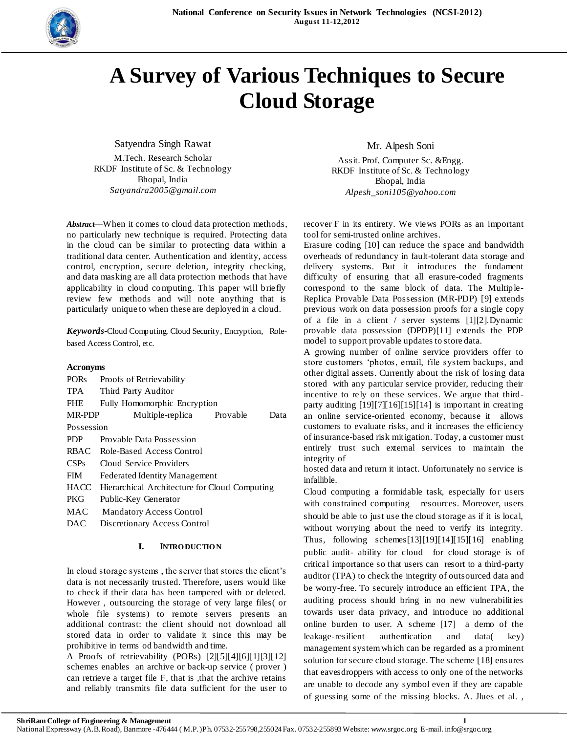

# **A Survey of Various Techniques to Secure Cloud Storage**

Satyendra Singh Rawat M.Tech. Research Scholar RKDF Institute of Sc. & Technology Bhopal, India *Satyandra2005@gmail.com*

*Abstract***—**When it comes to cloud data protection methods, no particularly new technique is required. Protecting data in the cloud can be similar to protecting data within a traditional data center. Authentication and identity, access control, encryption, secure deletion, integrity checking, and data masking are all data protection methods that have applicability in cloud computing. This paper will briefly review few methods and will note anything that is particularly unique to when these are deployed in a cloud.

*Keywords***-**Cloud Computing, Cloud Security, Encryption, Rolebased Access Control, etc.

# **Acronyms**

| <b>PORs</b> | Proofs of Retrievability                                                                              |
|-------------|-------------------------------------------------------------------------------------------------------|
| TPA         | Third Party Auditor                                                                                   |
| FHE         | <b>Fully Homomorphic Encryption</b>                                                                   |
| MR-PDP      | Multiple-replica<br>Provable<br>Data                                                                  |
| Possession  |                                                                                                       |
| PDP         | Provable Data Possession                                                                              |
| RBAC        | Role-Based Access Control                                                                             |
| CSPs        | Cloud Service Providers                                                                               |
| FIM         | <b>Federated Identity Management</b>                                                                  |
| HACC        | Hierarchical Architecture for Cloud Computing                                                         |
| PKG         | Public-Key Generator                                                                                  |
| MAC         | <b>Mandatory Access Control</b>                                                                       |
| ∩ ∧ ∩       | $\mathbf{D}$ : $\cdots$ : $\cdots$ and $\mathbf{A}$ is a set of $\mathbf{A}$ is a set of $\mathbf{A}$ |

# DAC Discretionary Access Control

# **I. INTRO DUCTIO N**

In cloud storage systems , the server that stores the client's data is not necessarily trusted. Therefore, users would like to check if their data has been tampered with or deleted. However , outsourcing the storage of very large files( or whole file systems) to remote servers presents an additional contrast: the client should not download all stored data in order to validate it since this may be prohibitive in terms od bandwidth and time.

A Proofs of retrievability (PORs) [2][5][4][6][1][3][12] schemes enables an archive or back-up service ( prover ) can retrieve a target file F, that is ,that the archive retains and reliably transmits file data sufficient for the user to

Mr. Alpesh Soni

Assit. Prof. Computer Sc. &Engg. RKDF Institute of Sc. & Technology Bhopal, India *Alpesh\_soni105@yahoo.com*

recover F in its entirety. We views PORs as an important tool for semi-trusted online archives.

Erasure coding [10] can reduce the space and bandwidth overheads of redundancy in fault-tolerant data storage and delivery systems. But it introduces the fundament difficulty of ensuring that all erasure-coded fragments correspond to the same block of data. The Multiple-Replica Provable Data Possession (MR-PDP) [9] extends previous work on data possession proofs for a single copy of a file in a client / server systems [1][2].Dynamic provable data possession (DPDP)[11] extends the PDP model to support provable updates to store data.

A growing number of online service providers offer to store customers 'photos, email, file system backups, and other digital assets. Currently about the risk of losing data stored with any particular service provider, reducing their incentive to rely on these services. We argue that thirdparty auditing [19][7][16][15][14] is important in creating an online service-oriented economy, because it allows customers to evaluate risks, and it increases the efficiency of insurance-based risk mitigation. Today, a customer must entirely trust such external services to maintain the integrity of

hosted data and return it intact. Unfortunately no service is infallible.

Cloud computing a formidable task, especially for users with constrained computing resources. Moreover, users should be able to just use the cloud storage as if it is local, without worrying about the need to verify its integrity. Thus, following schemes[13][19][14][15][16] enabling public audit- ability for cloud for cloud storage is of critical importance so that users can resort to a third-party auditor (TPA) to check the integrity of outsourced data and be worry-free. To securely introduce an efficient TPA, the auditing process should bring in no new vulnerabilities towards user data privacy, and introduce no additional online burden to user. A scheme [17] a demo of the leakage-resilient authentication and data( key) management system which can be regarded as a prominent solution for secure cloud storage. The scheme [18] ensures that eavesdroppers with access to only one of the networks are unable to decode any symbol even if they are capable of guessing some of the missing blocks. A. Jlues et al. ,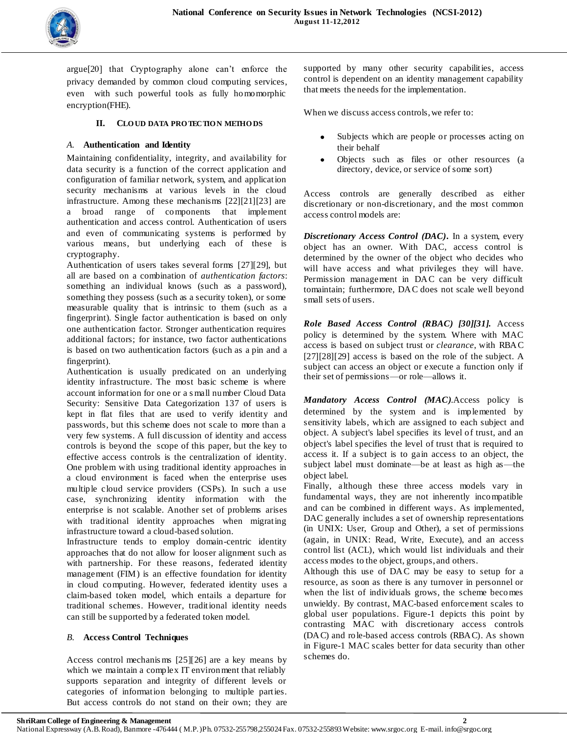

argue[20] that Cryptography alone can't enforce the privacy demanded by common cloud computing services, even with such powerful tools as fully homomorphic encryption(FHE).

## **II. CLO UD DATA PRO TECTIO N METHO DS**

# *A.* **Authentication and Identity**

Maintaining confidentiality, integrity, and availability for data security is a function of the correct application and configuration of familiar network, system, and application security mechanisms at various levels in the cloud infrastructure. Among these mechanisms [22][21][23] are a broad range of components that implement authentication and access control. Authentication of users and even of communicating systems is performed by various means, but underlying each of these is cryptography.

Authentication of users takes several forms [27][29], but all are based on a combination of *authentication factors*: something an individual knows (such as a password), something they possess (such as a security token), or some measurable quality that is intrinsic to them (such as a fingerprint). Single factor authentication is based on only one authentication factor. Stronger authentication requires additional factors; for instance, two factor authentications is based on two authentication factors (such as a pin and a fingerprint).

Authentication is usually predicated on an underlying identity infrastructure. The most basic scheme is where account information for one or a s mall number Cloud Data Security: Sensitive Data Categorization 137 of users is kept in flat files that are used to verify identity and passwords, but this scheme does not scale to more than a very few systems. A full discussion of identity and access controls is beyond the scope of this paper, but the key to effective access controls is the centralization of identity. One problem with using traditional identity approaches in a cloud environment is faced when the enterprise uses multiple cloud service providers (CSPs). In such a use case, synchronizing identity information with the enterprise is not scalable. Another set of problems arises with traditional identity approaches when migrating infrastructure toward a cloud-based solution.

Infrastructure tends to employ domain-centric identity approaches that do not allow for looser alignment such as with partnership. For these reasons, federated identity management (FIM) is an effective foundation for identity in cloud computing. However, federated identity uses a claim-based token model, which entails a departure for traditional schemes. However, traditional identity needs can still be supported by a federated token model.

# *B.* **Access Control Techniques**

Access control mechanis ms [25][26] are a key means by which we maintain a complex IT environment that reliably supports separation and integrity of different levels or categories of information belonging to multiple parties. But access controls do not stand on their own; they are

supported by many other security capabilities, access control is dependent on an identity management capability that meets the needs for the implementation.

When we discuss access controls, we refer to:

- Subjects which are people or processes acting on their behalf
- $\bullet$ Objects such as files or other resources (a directory, device, or service of some sort)

Access controls are generally described as either discretionary or non-discretionary, and the most common access control models are:

*Discretionary Access Control (DAC).* In a system, every object has an owner. With DAC, access control is determined by the owner of the object who decides who will have access and what privileges they will have. Permission management in DAC can be very difficult tomaintain; furthermore, DAC does not scale well beyond small sets of users.

*Role Based Access Control (RBAC) [30][31].* Access policy is determined by the system. Where with MAC access is based on subject trust or *clearance*, with RBAC [27][28][29] access is based on the role of the subject. A subject can access an object or execute a function only if their set of permissions—or role—allows it.

*Mandatory Access Control (MAC).*Access policy is determined by the system and is implemented by sensitivity labels, which are assigned to each subject and object. A subject's label specifies its level of trust, and an object's label specifies the level of trust that is required to access it. If a subject is to gain access to an object, the subject label must dominate—be at least as high as—the object label.

Finally, although these three access models vary in fundamental ways, they are not inherently incompatible and can be combined in different ways. As implemented, DAC generally includes a set of ownership representations (in UNIX: User, Group and Other), a set of permissions (again, in UNIX: Read, Write, Execute), and an access control list (ACL), which would list individuals and their access modes to the object, groups, and others.

Although this use of DAC may be easy to setup for a resource, as soon as there is any turnover in personnel or when the list of individuals grows, the scheme becomes unwieldy. By contrast, MAC-based enforcement scales to global user populations. Figure-1 depicts this point by contrasting MAC with discretionary access controls (DAC) and role-based access controls (RBAC). As shown in Figure-1 MAC scales better for data security than other schemes do.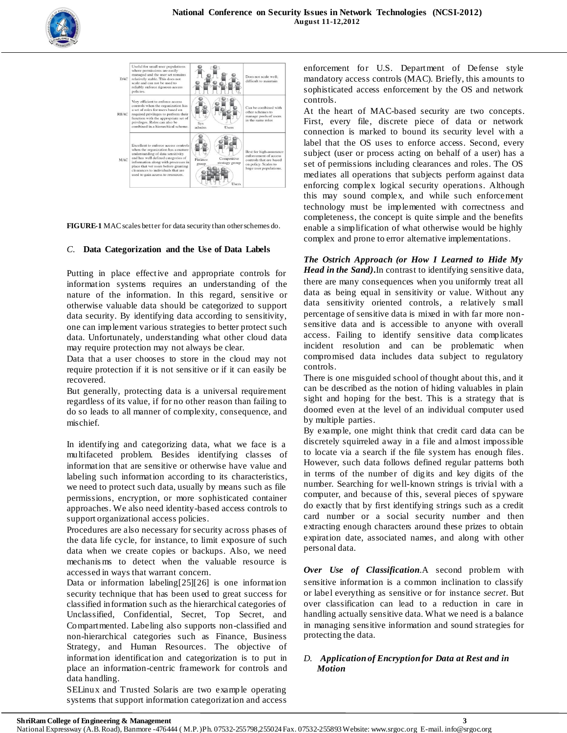



**FIGURE-1** MAC scales better for data security than other schemes do.

#### *C.* **Data Categorization and the Use of Data Labels**

Putting in place effective and appropriate controls for information systems requires an understanding of the nature of the information. In this regard, sensitive or otherwise valuable data should be categorized to support data security. By identifying data according to sensitivity, one can implement various strategies to better protect such data. Unfortunately, understanding what other cloud data may require protection may not always be clear.

Data that a user chooses to store in the cloud may not require protection if it is not sensitive or if it can easily be recovered.

But generally, protecting data is a universal requirement regardless of its value, if for no other reason than failing to do so leads to all manner of complexity, consequence, and mischief.

In identifying and categorizing data, what we face is a multifaceted problem. Besides identifying classes of information that are sensitive or otherwise have value and labeling such information according to its characteristics, we need to protect such data, usually by means such as file permissions, encryption, or more sophisticated container approaches. We also need identity-based access controls to support organizational access policies.

Procedures are also necessary for security across phases of the data life cycle, for instance, to limit exposure of such data when we create copies or backups. Also, we need mechanis ms to detect when the valuable resource is accessed in ways that warrant concern.

Data or information labeling[25][26] is one information security technique that has been used to great success for classified information such as the hierarchical categories of Unclassified, Confidential, Secret, Top Secret, and Compartmented. Labeling also supports non-classified and non-hierarchical categories such as Finance, Business Strategy, and Human Resources. The objective of information identification and categorization is to put in place an information-centric framework for controls and data handling.

enforcement for U.S. Department of Defense style mandatory access controls (MAC). Briefly, this amounts to sophisticated access enforcement by the OS and network controls.

At the heart of MAC-based security are two concepts. First, every file, discrete piece of data or network connection is marked to bound its security level with a label that the OS uses to enforce access. Second, every subject (user or process acting on behalf of a user) has a set of permissions including clearances and roles. The OS mediates all operations that subjects perform against data enforcing complex logical security operations. Although this may sound complex, and while such enforcement technology must be implemented with correctness and completeness, the concept is quite simple and the benefits enable a simplification of what otherwise would be highly complex and prone to error alternative implementations.

*The Ostrich Approach (or How I Learned to Hide My Head in the Sand).*In contrast to identifying sensitive data, there are many consequences when you uniformly treat all data as being equal in sensitivity or value. Without any data sensitivity oriented controls, a relatively s mall percentage of sensitive data is mixed in with far more nonsensitive data and is accessible to anyone with overall access. Failing to identify sensitive data complicates incident resolution and can be problematic when compromised data includes data subject to regulatory controls.

There is one misguided school of thought about this, and it can be described as the notion of hiding valuables in plain sight and hoping for the best. This is a strategy that is doomed even at the level of an individual computer used by multiple parties.

By example, one might think that credit card data can be discretely squirreled away in a file and almost impossible to locate via a search if the file system has enough files. However, such data follows defined regular patterns both in terms of the number of digits and key digits of the number. Searching for well-known strings is trivial with a computer, and because of this, several pieces of spyware do exactly that by first identifying strings such as a credit card number or a social security number and then extracting enough characters around these prizes to obtain expiration date, associated names, and along with other personal data.

*Over Use of Classification.*A second problem with sensitive information is a common inclination to classify or label everything as sensitive or for instance *secret*. But over classification can lead to a reduction in care in handling actually sensitive data. What we need is a balance in managing sensitive information and sound strategies for protecting the data.

## *D. Application of Encryption for Data at Rest and in Motion*

SELinux and Trusted Solaris are two example operating systems that support information categorization and access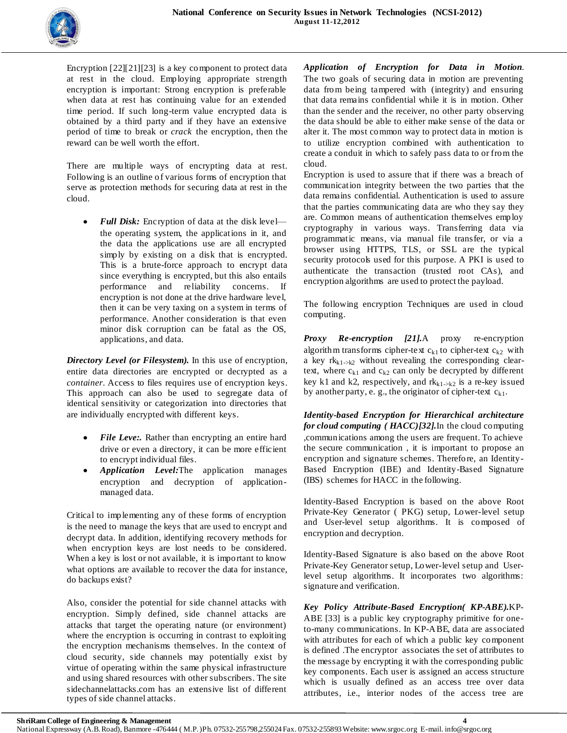

Encryption [22][21][23] is a key component to protect data at rest in the cloud. Employing appropriate strength encryption is important: Strong encryption is preferable when data at rest has continuing value for an extended time period. If such long-term value encrypted data is obtained by a third party and if they have an extensive period of time to break or *crack* the encryption, then the reward can be well worth the effort.

There are multiple ways of encrypting data at rest. Following is an outline of various forms of encryption that serve as protection methods for securing data at rest in the cloud.

*Full Disk:* Encryption of data at the disk level the operating system, the applications in it, and the data the applications use are all encrypted simply by existing on a disk that is encrypted. This is a brute-force approach to encrypt data since everything is encrypted, but this also entails performance and reliability concerns. If encryption is not done at the drive hardware level, then it can be very taxing on a system in terms of performance. Another consideration is that even minor disk corruption can be fatal as the OS, applications, and data.

*Directory Level (or Filesystem).* In this use of encryption, entire data directories are encrypted or decrypted as a *container*. Access to files requires use of encryption keys. This approach can also be used to segregate data of identical sensitivity or categorization into directories that are individually encrypted with different keys.

- *File Leve:.* Rather than encrypting an entire hard drive or even a directory, it can be more efficient to encrypt individual files.
- *Application Level:*The application manages encryption and decryption of applicationmanaged data.

Critical to implementing any of these forms of encryption is the need to manage the keys that are used to encrypt and decrypt data. In addition, identifying recovery methods for when encryption keys are lost needs to be considered. When a key is lost or not available, it is important to know what options are available to recover the data for instance, do backups exist?

Also, consider the potential for side channel attacks with encryption. Simply defined, side channel attacks are attacks that target the operating nature (or environment) where the encryption is occurring in contrast to exploiting the encryption mechanisms themselves. In the context of cloud security, side channels may potentially exist by virtue of operating within the same physical infrastructure and using shared resources with other subscribers. The site sidechannelattacks.com has an extensive list of different types of side channel attacks.

*Application of Encryption for Data in Motion.* The two goals of securing data in motion are preventing data from being tampered with (integrity) and ensuring that data remains confidential while it is in motion. Other than the sender and the receiver, no other party observing the data should be able to either make sense of the data or alter it. The most common way to protect data in motion is to utilize encryption combined with authentication to create a conduit in which to safely pass data to or from the cloud.

Encryption is used to assure that if there was a breach of communication integrity between the two parties that the data remains confidential. Authentication is used to assure that the parties communicating data are who they say they are. Common means of authentication themselves employ cryptography in various ways. Transferring data via programmatic means, via manual file transfer, or via a browser using HTTPS, TLS, or SSL are the typical security protocols used for this purpose. A PKI is used to authenticate the transaction (trusted root CAs), and encryption algorithms are used to protect the payload.

The following encryption Techniques are used in cloud computing.

*Proxy Re-encryption [21].*A proxy re-encryption algorithm transforms cipher-text  $c_{k1}$  to cipher-text  $c_{k2}$  with a key  $rk_{k1\rightarrow k2}$  without revealing the corresponding cleartext, where  $c_{k1}$  and  $c_{k2}$  can only be decrypted by different key k1 and k2, respectively, and  $rk_{k1\rightarrow k2}$  is a re-key issued by another party, e. g., the originator of cipher-text  $c_{k1}$ .

*Identity-based Encryption for Hierarchical architecture for cloud computing ( HACC)[32].*In the cloud computing ,communications among the users are frequent. To achieve the secure communication , it is important to propose an encryption and signature schemes. Therefore, an Identity-Based Encryption (IBE) and Identity-Based Signature (IBS) schemes for HACC in the following.

Identity-Based Encryption is based on the above Root Private-Key Generator ( PKG) setup, Lower-level setup and User-level setup algorithms. It is composed of encryption and decryption.

Identity-Based Signature is also based on the above Root Private-Key Generator setup, Lower-level setup and Userlevel setup algorithms. It incorporates two algorithms: signature and verification.

*Key Policy Attribute-Based Encryption( KP-ABE).*KP-ABE [33] is a public key cryptography primitive for oneto-many communications. In KP-ABE, data are associated with attributes for each of which a public key component is defined .The encryptor associates the set of attributes to the message by encrypting it with the corresponding public key components. Each user is assigned an access structure which is usually defined as an access tree over data attributes, i.e., interior nodes of the access tree are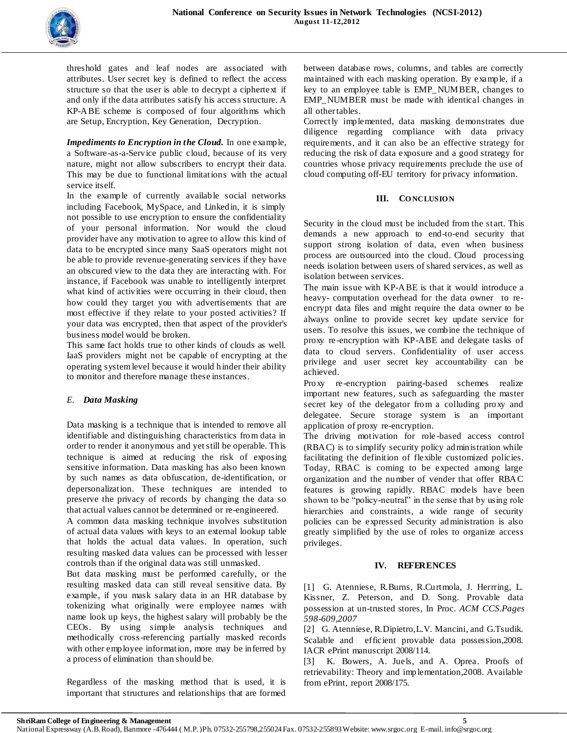

threshold gates and leaf nodes are associated with attributes. User secret key is defined to reflect the access structure so that the user is able to decrypt a ciphertext if and only if the data attributes satisfy his access structure. A KP-ABE scheme is composed of four algorithms which are Setup, Encryption, Key Generation, Decryption.

*Impediments to Encryption in the Cloud.* In one example, a Software-as-a-Service public cloud, because of its very nature, might not allow subscribers to encrypt their data. This may be due to functional limitations with the actual service itself.

In the example of currently available social networks including Facebook, MySpace, and Linkedin, it is simply not possible to use encryption to ensure the confidentiality of your personal information. Nor would the cloud provider have any motivation to agree to allow this kind of data to be encrypted since many SaaS operators might not be able to provide revenue-generating services if they have an obscured view to the data they are interacting with. For instance, if Facebook was unable to intelligently interpret what kind of activities were occurring in their cloud, then how could they target you with advertisements that are most effective if they relate to your posted activities? If your data was encrypted, then that aspect of the provider's business model would be broken.

This same fact holds true to other kinds of clouds as well. IaaS providers might not be capable of encrypting at the operating system level because it would hinder their ability to monitor and therefore manage these instances.

# *E. Data Masking*

Data masking is a technique that is intended to remove all identifiable and distinguishing characteristics from data in order to render it anonymous and yet still be operable. This technique is aimed at reducing the risk of exposing sensitive information. Data masking has also been known by such names as data obfuscation, de-identification, or depersonalization. These techniques are intended to preserve the privacy of records by changing the data so that actual values cannot be determined or re-engineered.

A common data masking technique involves substitution of actual data values with keys to an external lookup table that holds the actual data values. In operation, such resulting masked data values can be processed with lesser controls than if the original data was still unmasked.

But data masking must be performed carefully, or the resulting masked data can still reveal sensitive data. By example, if you mask salary data in an HR database by tokenizing what originally were employee names with name look up keys, the highest salary will probably be the CEOs. By using simple analysis techniques and methodically cross-referencing partially masked records with other employee information, more may be inferred by a process of elimination than should be.

Regardless of the masking method that is used, it is important that structures and relationships that are formed

between database rows, columns, and tables are correctly maintained with each masking operation. By example, if a key to an employee table is EMP\_NUMBER, changes to EMP\_NUMBER must be made with identical changes in all other tables.

Correctly implemented, data masking demonstrates due diligence regarding compliance with data privacy requirements, and it can also be an effective strategy for reducing the risk of data exposure and a good strategy for countries whose privacy requirements preclude the use of cloud computing off-EU territory for privacy information.

# **III. CO NCLUSIO N**

Security in the cloud must be included from the start. This demands a new approach to end-to-end security that support strong isolation of data, even when business process are outsourced into the cloud. Cloud processing needs isolation between users of shared services, as well as isolation between services.

The main issue with KP-ABE is that it would introduce a heavy- computation overhead for the data owner to reencrypt data files and might require the data owner to be always online to provide secret key update service for users. To resolve this issues, we combine the technique of proxy re-encryption with KP-ABE and delegate tasks of data to cloud servers. Confidentiality of user access privilege and user secret key accountability can be achieved.

Proxy re-encryption pairing-based schemes realize important new features, such as safeguarding the master secret key of the delegator from a colluding proxy and delegatee. Secure storage system is an important application of proxy re-encryption.

The driving motivation for role -based access control (RBAC) is to simplify security policy administration while facilitating the definition of flexible customized policies. Today, RBAC is coming to be expected among large organization and the number of vender that offer RBAC features is growing rapidly. RBAC models have been shown to be "policy-neutral" in the sense that by using role hierarchies and constraints, a wide range of security policies can be expressed Security administration is also greatly simplified by the use of roles to organize access privileges.

# **IV. REFERENCES**

[1] G. Atenniese, R.Burns, R.Curtmola, J. Herrring, L. Kissner, Z. Peterson, and D. Song. Provable data possession at un-trusted stores, In Proc. *ACM CCS.Pages 598-609,2007*

[2] G. Atenniese, R.Dipietro,L.V. Mancini, and G.Tsudik. Scalable and efficient provable data possession,2008. IACR ePrint manuscript 2008/114.

[3] K. Bowers, A. Juels, and A. Oprea. Proofs of retrievability: Theory and implementation,2008. Available from ePrint, report 2008/175.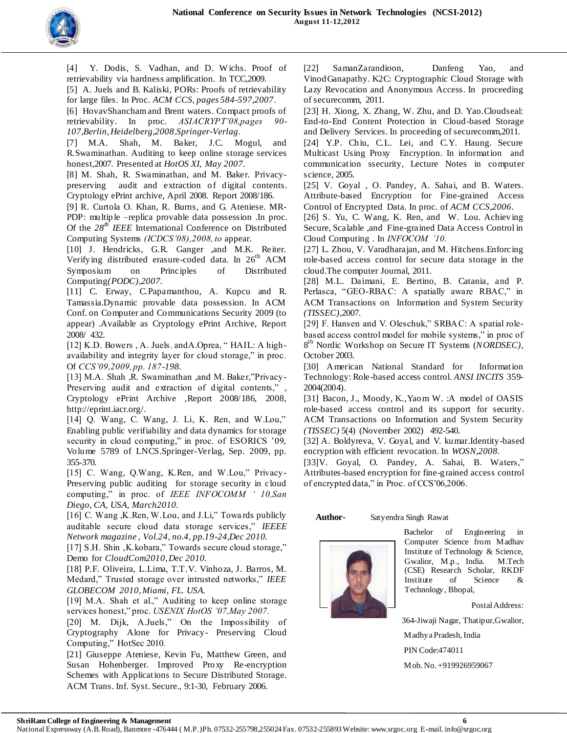

[4] Y. Dodis, S. Vadhan, and D. W ichs. Proof of retrievability via hardness amplification. In TCC,2009.

[5] A. Juels and B. Kaliski, PORs: Proofs of retrievability for large files. In Proc. *ACM CCS, pages 584-597,2007*.

[6] HovavShancham and Brent waters. Compact proofs of retrievability. In proc. *ASIACRYPT'08,pages 90- 107,Berlin*, *Heidelberg,2008.Springer-Verlag*.

[7] M.A. Shah, M. Baker, J.C. Mogul, and R.Swaminathan. Auditing to keep online storage services honest,2007. Presented at *HotOS XI, May 2007.*

[8] M. Shah, R. Swaminathan, and M. Baker. Privacypreserving audit and extraction of digital contents. Cryptology ePrint archive, April 2008. Report 2008/186.

[9] R. Curtola O. Khan, R. Burns, and G. Ateniese. MR-PDP: multiple –replica provable data possession .In proc. Of the *28th IEEE* International Conference on Distributed Computing Systems *(ICDCS'08),2008, to* appear.

[10] J. Hendricks, G.R. Ganger ,and M.K. Reiter. Verifying distributed erasure-coded data. In 26<sup>th</sup> ACM Symposium on Principles of Distributed Computing*(PODC),2007.*

[11] C. Erway, C.Papamanthou, A. Kupcu and R. Tamassia.Dynamic provable data possession. In ACM Conf. on Computer and Communications Security 2009 (to appear) .Available as Cryptology ePrint Archive, Report 2008/ 432.

[12] K.D. Bowers, A. Juels. and A. Oprea, "HAIL: A highavailability and integrity layer for cloud storage," in proc. Of *CCS'09,2009, pp. 187-198.*

[13] M.A. Shah ,R. Swaminathan ,and M. Baker,"Privacy-Preserving audit and extraction of digital contents,", Cryptology ePrint Archive ,Report 2008/186, 2008, [http://eprint.iacr.org/.](http://eprint.iacr.org/)

[14] Q. Wang, C. Wang, J. Li, K. Ren, and W.Lou," Enabling public verifiability and data dynamics for storage security in cloud computing," in proc. of ESORICS '09, Volume 5789 of LNCS.Springer-Verlag, Sep. 2009, pp. 355-370.

[15] C. Wang, Q.Wang, K.Ren, and W.Lou," Privacy-Preserving public auditing for storage security in cloud computing,‖ in proc. of *IEEE INFOCOMM ' 10,San Diego, CA, USA, March2010.*

[16] C. Wang, K.Ren, W.Lou, and J.Li," Towards publicly auditable secure cloud data storage services,‖ *IEEEE Network magazine , Vol.24, no.4, pp.19-24,Dec 2010.*

[17] S.H. Shin , K. kobara," Towards secure cloud storage," Demo for *CloudCom2010, Dec 2010.*

[18] P.F. Oliveira, L.Lima, T.T.V. Vinhoza, J. Barros, M. Medard," Trusted storage over intrusted networks," IEEE *GLOBECOM 2010, Miami, FL. USA.*

[19] M.A. Shah et al.," Auditing to keep online storage services honest," proc. *USENIX HotOS* '07, May 2007.

[20] M. Dijk, A.Juels," On the Impossibility of Cryptography Alone for Privacy- Preserving Cloud Computing," HotSec 2010.

[21] Giuseppe Ateniese, Kevin Fu, Matthew Green, and Susan Hohenberger. Improved Proxy Re-encryption Schemes with Applications to Secure Distributed Storage. ACM Trans. Inf. Syst. Secure., 9:1-30, February 2006.

[22] SamanZarandioon, Danfeng Yao, and VinodGanapathy. K2C: Cryptographic Cloud Storage with Lazy Revocation and Anonymous Access. In proceeding of securecomm, 2011.

[23] H. Xiong, X. Zhang, W. Zhu, and D. Yao.Cloudseal: End-to-End Content Protection in Cloud-based Storage and Delivery Services. In proceeding of securecomm,2011.

[24] Y.P. Chiu, C.L. Lei, and C.Y. Haung. Secure Multicast Using Proxy Encryption. In information and communication ssecurity, Lecture Notes in computer science, 2005.

[25] V. Goyal, O. Pandey, A. Sahai, and B. Waters. Attribute-based Encryption for Fine-grained Access Control of Encrypted Data. In proc. of *ACM CCS,2006*.

[26] S. Yu, C. Wang, K. Ren, and W. Lou. Achieving Secure, Scalable ,and Fine-grained Data Access Control in Cloud Computing . In *INFOCOM '10.*

[27] L. Zhou, V. Varadharajan, and M. Hitchens. Enforcing role-based access control for secure data storage in the cloud.The computer Journal, 2011.

[28] M.L. Daimani, E. Bertino, B. Catania, and P. Perlasca, "GEO-RBAC: A spatially aware RBAC," in ACM Transactions on Information and System Security *(TISSEC),*2007.

[29] F. Hansen and V. Oleschuk," SRBAC: A spatial rolebased access control model for mobile systems," in proc of 8 th Nordic Workshop on Secure IT Systems (*NORDSEC),* October 2003.

[30] American National Standard for Information Technology: Role -based access control. *ANSI INCITS* 359- 2004(2004).

[31] Bacon, J., Moody, K.,Yaom W. :A model of OASIS role-based access control and its support for security. ACM Transactions on Information and System Security *(TISSEC)* 5(4) (November 2002) 492-540.

[32] A. Boldyreva, V. Goyal, and V. kumar.Identity-based encryption with efficient revocation. In *WOSN,2008.*

[33] V. Goyal, O. Pandey, A. Sahai, B. Waters," Attributes-based encryption for fine-grained access control of encrypted data," in Proc. of CCS'06,2006.

# **Author-** Satyendra Singh Rawat



Bachelor of Engineering in Computer Science from Madhav Institute of Technology & Science, Gwalior, M.p., India. M.Tech (CSE) Research Scholar, RKDF Institute of Science & Technology, Bhopal,

Postal Address:

364-Jiwaji Nagar, Thatipur,Gwalior,

Madhya Pradesh, India

PIN Code:474011

Mob. No. +919926959067

National Expressway (A.B. Road), Banmore -476444 ( M.P.)Ph. 07532-255798,255024 Fax. 07532-255893 Website: www.srgoc.org E-mail. info@srgoc.org